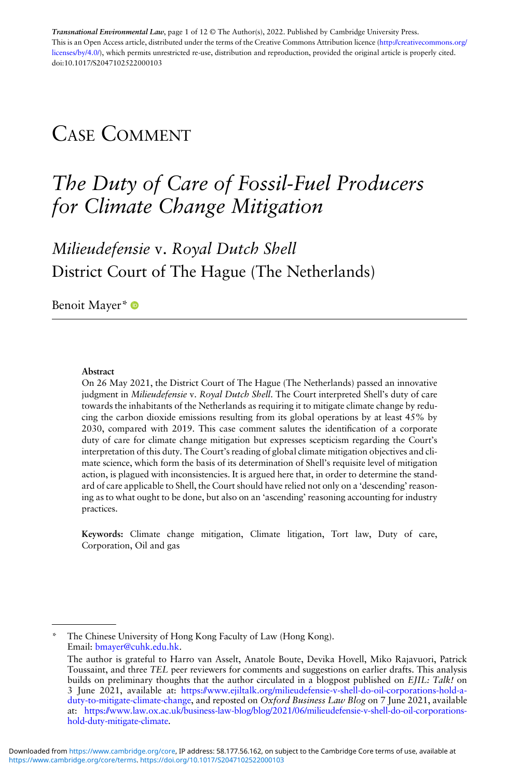Transnational Environmental Law, page 1 of 12 © The Author(s), 2022. Published by Cambridge University Press. This is an Open Access article, distributed under the terms of the Creative Commons Attribution licence ([http://creativecommons.org/](http://creativecommons.org/licenses/by/4.0/) [licenses/by/4.0/\)](http://creativecommons.org/licenses/by/4.0/), which permits unrestricted re-use, distribution and reproduction, provided the original article is properly cited. doi[:10.1017/S2047102522000103](https://doi.org/10.1017/S2047102522000103)

## CASE COMMENT

# The Duty of Care of Fossil-Fuel Producers for Climate Change Mitigation

Milieudefensie v. Royal Dutch Shell District Court of The Hague (The Netherlands)

Benoit Mayer\* <sup>®</sup>

#### Abstract

On 26 May 2021, the District Court of The Hague (The Netherlands) passed an innovative judgment in *Milieudefensie v. Royal Dutch Shell*. The Court interpreted Shell's duty of care towards the inhabitants of the Netherlands as requiring it to mitigate climate change by reducing the carbon dioxide emissions resulting from its global operations by at least 45% by 2030, compared with 2019. This case comment salutes the identification of a corporate duty of care for climate change mitigation but expresses scepticism regarding the Court's interpretation of this duty. The Court's reading of global climate mitigation objectives and climate science, which form the basis of its determination of Shell's requisite level of mitigation action, is plagued with inconsistencies. It is argued here that, in order to determine the standard of care applicable to Shell, the Court should have relied not only on a 'descending' reasoning as to what ought to be done, but also on an 'ascending' reasoning accounting for industry practices.

Keywords: Climate change mitigation, Climate litigation, Tort law, Duty of care, Corporation, Oil and gas

\* The Chinese University of Hong Kong Faculty of Law (Hong Kong). Email: [bmayer@cuhk.edu.hk.](mailto:bmayer@cuhk.edu.hk)

The author is grateful to Harro van Asselt, Anatole Boute, Devika Hovell, Miko Rajavuori, Patrick Toussaint, and three TEL peer reviewers for comments and suggestions on earlier drafts. This analysis builds on preliminary thoughts that the author circulated in a blogpost published on EIIL: Talk! on 3 June 2021, available at: [https://www.ejiltalk.org/milieudefensie-v-shell-do-oil-corporations-hold-a](https://www.ejiltalk.org/milieudefensie-v-shell-do-oil-corporations-hold-a-duty-to-mitigate-climate-change)[duty-to-mitigate-climate-change,](https://www.ejiltalk.org/milieudefensie-v-shell-do-oil-corporations-hold-a-duty-to-mitigate-climate-change) and reposted on *Oxford Business Law Blog* on 7 June 2021, available at: [https://www.law.ox.ac.uk/business-law-blog/blog/2021/06/milieudefensie-v-shell-do-oil-corporations](https://www.law.ox.ac.uk/business-law-blog/blog/2021/06/milieudefensie-v-shell-do-oil-corporations-hold-duty-mitigate-climate)[hold-duty-mitigate-climate.](https://www.law.ox.ac.uk/business-law-blog/blog/2021/06/milieudefensie-v-shell-do-oil-corporations-hold-duty-mitigate-climate)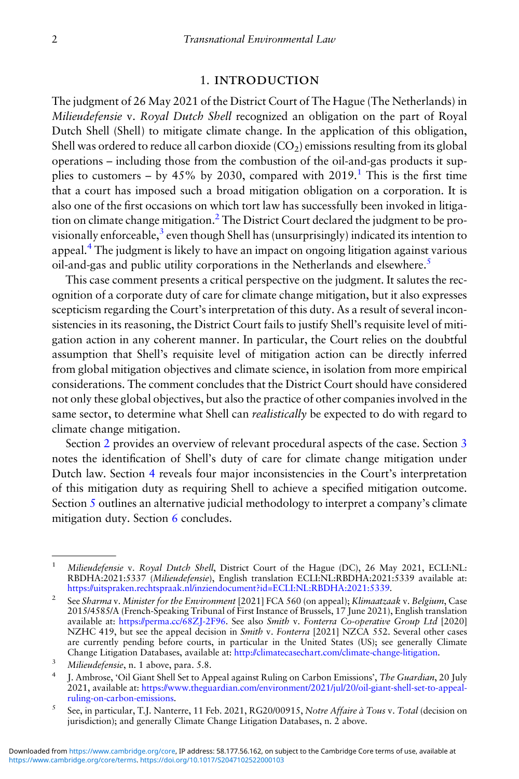#### 1. INTRODUCTION

The judgment of 26 May 2021 of the District Court of The Hague (The Netherlands) in Milieudefensie v. Royal Dutch Shell recognized an obligation on the part of Royal Dutch Shell (Shell) to mitigate climate change. In the application of this obligation, Shell was ordered to reduce all carbon dioxide  $(CO<sub>2</sub>)$  emissions resulting from its global operations – including those from the combustion of the oil-and-gas products it supplies to customers – by 45% by 2030, compared with  $2019$ .<sup>1</sup> This is the first time that a court has imposed such a broad mitigation obligation on a corporation. It is also one of the first occasions on which tort law has successfully been invoked in litigation on climate change mitigation.<sup>2</sup> The District Court declared the judgment to be provisionally enforceable,<sup>3</sup> even though Shell has (unsurprisingly) indicated its intention to appeal.<sup>4</sup> The judgment is likely to have an impact on ongoing litigation against various oil-and-gas and public utility corporations in the Netherlands and elsewhere.<sup>5</sup>

This case comment presents a critical perspective on the judgment. It salutes the recognition of a corporate duty of care for climate change mitigation, but it also expresses scepticism regarding the Court's interpretation of this duty. As a result of several inconsistencies in its reasoning, the District Court fails to justify Shell's requisite level of mitigation action in any coherent manner. In particular, the Court relies on the doubtful assumption that Shell's requisite level of mitigation action can be directly inferred from global mitigation objectives and climate science, in isolation from more empirical considerations. The comment concludes that the District Court should have considered not only these global objectives, but also the practice of other companies involved in the same sector, to determine what Shell can *realistically* be expected to do with regard to climate change mitigation.

Section [2](#page-2-0) provides an overview of relevant procedural aspects of the case. Section [3](#page-3-0) notes the identification of Shell's duty of care for climate change mitigation under Dutch law. Section [4](#page-5-0) reveals four major inconsistencies in the Court's interpretation of this mitigation duty as requiring Shell to achieve a specified mitigation outcome. Section [5](#page-8-0) outlines an alternative judicial methodology to interpret a company's climate mitigation duty. Section [6](#page-11-0) concludes.

<sup>&</sup>lt;sup>1</sup> Milieudefensie v. Royal Dutch Shell, District Court of the Hague (DC), 26 May 2021, ECLI:NL: RBDHA:2021:5337 (Milieudefensie), English translation ECLI:NL:RBDHA:2021:5339 available at: <https://uitspraken.rechtspraak.nl/inziendocument?id=ECLI:NL:RBDHA:2021:5339>.

<sup>&</sup>lt;sup>2</sup> See Sharma v. Minister for the Environment [2021] FCA 560 (on appeal); Klimaatzaak v. Belgium, Case 2015/4585/A (French-Speaking Tribunal of First Instance of Brussels, 17 June 2021), English translation available at: <https://perma.cc/68ZJ-2F96>. See also Smith v. Fonterra Co-operative Group Ltd [2020] NZHC 419, but see the appeal decision in Smith v. Fonterra [2021] NZCA 552. Several other cases are currently pending before courts, in particular in the United States (US); see generally Climate Change Litigation Databases, available at: <http://climatecasechart.com/climate-change-litigation>.

<sup>3</sup> Milieudefensie, n. 1 above, para. 5.8.

<sup>4</sup> J. Ambrose, 'Oil Giant Shell Set to Appeal against Ruling on Carbon Emissions', The Guardian, 20 July 2021, available at: [https://www.theguardian.com/environment/2021/jul/20/oil-giant-shell-set-to-appeal](https://www.theguardian.com/environment/2021/jul/20/oil-giant-shell-set-to-appeal-ruling-on-carbon-emissions)[ruling-on-carbon-emissions.](https://www.theguardian.com/environment/2021/jul/20/oil-giant-shell-set-to-appeal-ruling-on-carbon-emissions)

<sup>5</sup> See, in particular, T.J. Nanterre, 11 Feb. 2021, RG20/00915, Notre Affaire à Tous v. Total (decision on jurisdiction); and generally Climate Change Litigation Databases, n. 2 above.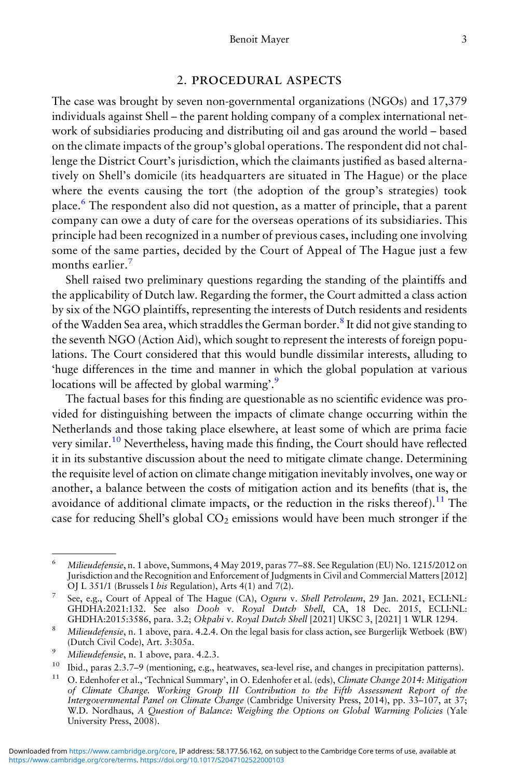#### 2. PROCEDURAL ASPECTS

<span id="page-2-0"></span>The case was brought by seven non-governmental organizations (NGOs) and 17,379 individuals against Shell – the parent holding company of a complex international network of subsidiaries producing and distributing oil and gas around the world – based on the climate impacts of the group's global operations. The respondent did not challenge the District Court's jurisdiction, which the claimants justified as based alternatively on Shell's domicile (its headquarters are situated in The Hague) or the place where the events causing the tort (the adoption of the group's strategies) took place.<sup>6</sup> The respondent also did not question, as a matter of principle, that a parent company can owe a duty of care for the overseas operations of its subsidiaries. This principle had been recognized in a number of previous cases, including one involving some of the same parties, decided by the Court of Appeal of The Hague just a few months earlier.<sup>7</sup>

Shell raised two preliminary questions regarding the standing of the plaintiffs and the applicability of Dutch law. Regarding the former, the Court admitted a class action by six of the NGO plaintiffs, representing the interests of Dutch residents and residents of the Wadden Sea area, which straddles the German border.<sup>8</sup> It did not give standing to the seventh NGO (Action Aid), which sought to represent the interests of foreign populations. The Court considered that this would bundle dissimilar interests, alluding to 'huge differences in the time and manner in which the global population at various locations will be affected by global warming'.<sup>9</sup>

The factual bases for this finding are questionable as no scientific evidence was provided for distinguishing between the impacts of climate change occurring within the Netherlands and those taking place elsewhere, at least some of which are prima facie very similar.<sup>10</sup> Nevertheless, having made this finding, the Court should have reflected it in its substantive discussion about the need to mitigate climate change. Determining the requisite level of action on climate change mitigation inevitably involves, one way or another, a balance between the costs of mitigation action and its benefits (that is, the avoidance of additional climate impacts, or the reduction in the risks thereof).<sup>11</sup> The case for reducing Shell's global  $CO<sub>2</sub>$  emissions would have been much stronger if the

<sup>&</sup>lt;sup>6</sup> Milieudefensie, n. 1 above, Summons, 4 May 2019, paras 77–88. See Regulation (EU) No. 1215/2012 on Jurisdiction and the Recognition and Enforcement of Judgments in Civil and Commercial Matters [2012] OJ L 351/1 (Brussels I *bis* Regulation), Arts  $4(1)$  and  $7(2)$ .

<sup>7</sup> See, e.g., Court of Appeal of The Hague (CA), Oguru v. Shell Petroleum, 29 Jan. 2021, ECLI:NL: GHDHA:2021:132. See also Dooh v. Royal Dutch Shell, CA, 18 Dec. 2015, ECLI:NL: GHDHA:2015:3586, para. 3.2; Okpabi v. Royal Dutch Shell [2021] UKSC 3, [2021] 1 WLR 1294.

<sup>8</sup> Milieudefensie, n. 1 above, para. 4.2.4. On the legal basis for class action, see Burgerlijk Wetboek (BW) (Dutch Civil Code), Art. 3:305a.

<sup>9</sup> Milieudefensie, n. 1 above, para. 4.2.3.

<sup>&</sup>lt;sup>10</sup> Ibid., paras 2.3.7–9 (mentioning, e.g., heatwaves, sea-level rise, and changes in precipitation patterns).<br><sup>11</sup> O Edgehofrantial STechnical Summary' in O Edgehofra at al. (ads) Climate Change 2014; Mitigation

<sup>0.</sup> Edenhofer et al., 'Technical Summary', in O. Edenhofer et al. (eds), Climate Change 2014: Mitigation of Climate Change. Working Group III Contribution to the Fifth Assessment Report of the Intergovernmental Panel on Climate Change (Cambridge University Press, 2014), pp. 33–107, at 37; W.D. Nordhaus, A Question of Balance: Weighing the Options on Global Warming Policies (Yale University Press, 2008).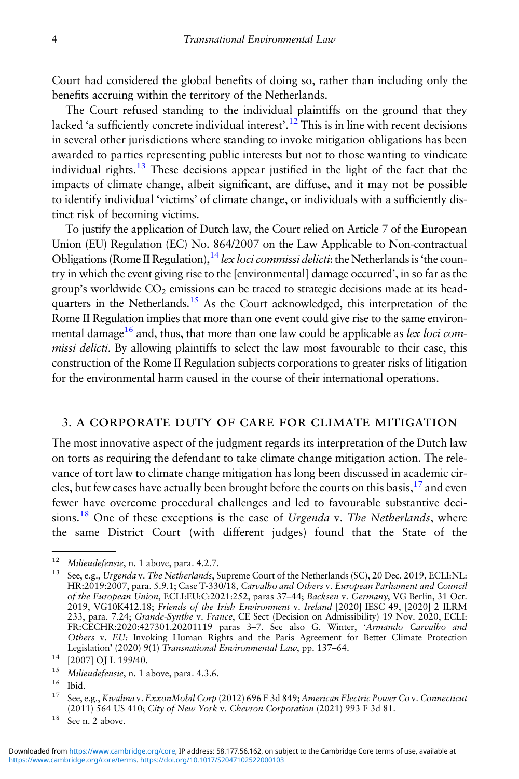<span id="page-3-0"></span>Court had considered the global benefits of doing so, rather than including only the benefits accruing within the territory of the Netherlands.

The Court refused standing to the individual plaintiffs on the ground that they lacked 'a sufficiently concrete individual interest'.<sup>12</sup> This is in line with recent decisions in several other jurisdictions where standing to invoke mitigation obligations has been awarded to parties representing public interests but not to those wanting to vindicate individual rights.<sup>13</sup> These decisions appear justified in the light of the fact that the impacts of climate change, albeit significant, are diffuse, and it may not be possible to identify individual 'victims' of climate change, or individuals with a sufficiently distinct risk of becoming victims.

To justify the application of Dutch law, the Court relied on Article 7 of the European Union (EU) Regulation (EC) No. 864/2007 on the Law Applicable to Non-contractual Obligations (Rome II Regulation),  $^{14}$  lex loci commissi delicti: the Netherlands is 'the country in which the event giving rise to the [environmental] damage occurred', in so far as the group's worldwide  $CO<sub>2</sub>$  emissions can be traced to strategic decisions made at its headquarters in the Netherlands.<sup>15</sup> As the Court acknowledged, this interpretation of the Rome II Regulation implies that more than one event could give rise to the same environmental damage<sup>16</sup> and, thus, that more than one law could be applicable as *lex loci com*missi delicti. By allowing plaintiffs to select the law most favourable to their case, this construction of the Rome II Regulation subjects corporations to greater risks of litigation for the environmental harm caused in the course of their international operations.

#### 3. A CORPORATE DUTY OF CARE FOR CLIMATE MITIGATION

The most innovative aspect of the judgment regards its interpretation of the Dutch law on torts as requiring the defendant to take climate change mitigation action. The relevance of tort law to climate change mitigation has long been discussed in academic circles, but few cases have actually been brought before the courts on this basis,  $17$  and even fewer have overcome procedural challenges and led to favourable substantive decisions.<sup>18</sup> One of these exceptions is the case of Urgenda v. The Netherlands, where the same District Court (with different judges) found that the State of the

<sup>&</sup>lt;sup>12</sup> Milieudefensie, n. 1 above, para. 4.2.7.

<sup>&</sup>lt;sup>13</sup> See, e.g., Urgenda v. The Netherlands, Supreme Court of the Netherlands (SC), 20 Dec. 2019, ECLI:NL: HR:2019:2007, para. 5.9.1; Case T-330/18, Carvalho and Others v. European Parliament and Council of the European Union, ECLI:EU:C:2021:252, paras 37–44; Backsen v. Germany, VG Berlin, 31 Oct.  $2019$ , VG10K412.18; Friends of the Irish Environment v. Ireland [2020] IESC 49, [2020] 2 ILRM 233, para. 7.24; Grande-Synthe v. France, CE Sect (Decision on Admissibility) 19 Nov. 2020, ECLI: FR:CECHR:2020:427301.20201119 paras 3-7. See also G. Winter, 'Armando Carvalho and Others v. EU: Invoking Human Rights and the Paris Agreement for Better Climate Protection Legislation' (2020) 9(1) Transnational Environmental Law, pp. 137-64.

<sup>14</sup> [2007] OJ L 199/40.

<sup>&</sup>lt;sup>15</sup> Milieudefensie, n. 1 above, para. 4.3.6.

 $\frac{16}{17}$  Ibid.

See, e.g., Kivalina v. ExxonMobil Corp (2012) 696 F 3d 849; American Electric Power Co v. Connecticut (2011) 564 US 410; City of New York v. Chevron Corporation (2021) 993 F 3d 81.

<sup>&</sup>lt;sup>18</sup> See n. 2 above.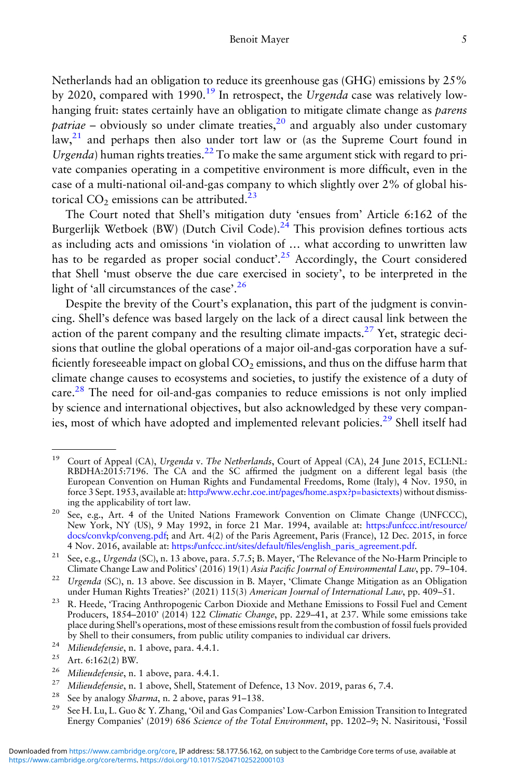Netherlands had an obligation to reduce its greenhouse gas (GHG) emissions by 25% by 2020, compared with 1990.<sup>19</sup> In retrospect, the Urgenda case was relatively lowhanging fruit: states certainly have an obligation to mitigate climate change as *parens patriae* – obviously so under climate treaties,  $\frac{20}{3}$  and arguably also under customary law,<sup>21</sup> and perhaps then also under tort law or (as the Supreme Court found in Urgenda) human rights treaties.<sup>22</sup> To make the same argument stick with regard to private companies operating in a competitive environment is more difficult, even in the case of a multi-national oil-and-gas company to which slightly over 2% of global historical  $CO<sub>2</sub>$  emissions can be attributed.<sup>23</sup>

The Court noted that Shell's mitigation duty 'ensues from' Article 6:162 of the Burgerlijk Wetboek (BW) (Dutch Civil Code).<sup>24</sup> This provision defines tortious acts as including acts and omissions 'in violation of … what according to unwritten law has to be regarded as proper social conduct'.<sup>25</sup> Accordingly, the Court considered that Shell 'must observe the due care exercised in society', to be interpreted in the light of 'all circumstances of the case'. 26

Despite the brevity of the Court's explanation, this part of the judgment is convincing. Shell's defence was based largely on the lack of a direct causal link between the action of the parent company and the resulting climate impacts.<sup>27</sup> Yet, strategic decisions that outline the global operations of a major oil-and-gas corporation have a sufficiently foreseeable impact on global  $CO<sub>2</sub>$  emissions, and thus on the diffuse harm that climate change causes to ecosystems and societies, to justify the existence of a duty of care.<sup>28</sup> The need for oil-and-gas companies to reduce emissions is not only implied by science and international objectives, but also acknowledged by these very companies, most of which have adopted and implemented relevant policies.<sup>29</sup> Shell itself had

<sup>&</sup>lt;sup>19</sup> Court of Appeal (CA), Urgenda v. The Netherlands, Court of Appeal (CA), 24 June 2015, ECLI:NL: RBDHA:2015:7196. The CA and the SC affirmed the judgment on a different legal basis (the European Convention on Human Rights and Fundamental Freedoms, Rome (Italy), 4 Nov. 1950, in force 3 Sept. 1953, available at: [http://www.echr.coe.int/pages/home.aspx?p=basictexts\)](http://www.echr.coe.int/pages/home.aspx?p=basictexts) without dismissing the applicability of tort law.

See, e.g., Art. 4 of the United Nations Framework Convention on Climate Change (UNFCCC), New York, NY (US), 9 May 1992, in force 21 Mar. 1994, available at: [https://unfccc.int/resource/](https://unfccc.int/resource/docs/convkp/conveng.pdf) [docs/convkp/conveng.pdf](https://unfccc.int/resource/docs/convkp/conveng.pdf); and Art. 4(2) of the Paris Agreement, Paris (France), 12 Dec. 2015, in force 4 Nov. 2016, available at: [https://](https://unfccc.int/sites/default/files/english_paris_agreement.pdf)unfccc.int/sites/default/fi[les/english\\_paris\\_agreement.pdf](https://unfccc.int/sites/default/files/english_paris_agreement.pdf).

<sup>&</sup>lt;sup>21</sup> See, e.g., Urgenda (SC), n. 13 above, para. 5.7.5; B. Mayer, 'The Relevance of the No-Harm Principle to Climate Change Law and Politics' (2016) 19(1) Asia Pacific Journal of Environmental Law, pp. 79–104.

<sup>&</sup>lt;sup>22</sup> Urgenda (SC), n. 13 above. See discussion in B. Mayer, 'Climate Change Mitigation as an Obligation under Human Rights Treaties?' (2021) 115(3) American Journal of International Law, pp. 409–51.

<sup>&</sup>lt;sup>23</sup> R. Heede, 'Tracing Anthropogenic Carbon Dioxide and Methane Emissions to Fossil Fuel and Cement Producers, 1854–2010' (2014) 122 Climatic Change, pp. 229–41, at 237. While some emissions take place during Shell's operations, most of these emissions result from the combustion of fossil fuels provided by Shell to their consumers, from public utility companies to individual car drivers.

<sup>&</sup>lt;sup>24</sup> Milieudefensie, n. 1 above, para. 4.4.1.<br><sup>25</sup> Art. 6.162(2) BW

<sup>&</sup>lt;sup>25</sup> Art. 6:162(2) BW.<br><sup>26</sup> Miliaudatansia p

<sup>&</sup>lt;sup>26</sup> Milieudefensie, n. 1 above, para. 4.4.1.<br><sup>27</sup> Miliaudefensie n. 1 above, Shell, Staten

<sup>&</sup>lt;sup>27</sup> Milieudefensie, n. 1 above, Shell, Statement of Defence, 13 Nov. 2019, paras 6, 7.4.<br><sup>28</sup> See by analogy Shamua, n. 2 above, paras 91, 128

<sup>&</sup>lt;sup>28</sup> See by analogy *Sharma*, n. 2 above, paras 91–138.

See H. Lu, L. Guo & Y. Zhang, 'Oil and Gas Companies' Low-Carbon Emission Transition to Integrated Energy Companies' (2019) 686 Science of the Total Environment, pp. 1202–9; N. Nasiritousi, 'Fossil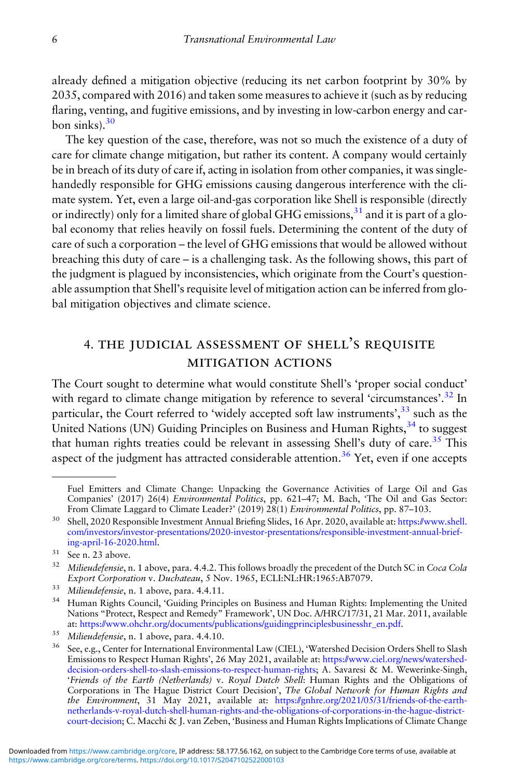<span id="page-5-0"></span>already defined a mitigation objective (reducing its net carbon footprint by 30% by 2035, compared with 2016) and taken some measures to achieve it (such as by reducing flaring, venting, and fugitive emissions, and by investing in low-carbon energy and carbon sinks). $30$ 

The key question of the case, therefore, was not so much the existence of a duty of care for climate change mitigation, but rather its content. A company would certainly be in breach of its duty of care if, acting in isolation from other companies, it was singlehandedly responsible for GHG emissions causing dangerous interference with the climate system. Yet, even a large oil-and-gas corporation like Shell is responsible (directly or indirectly) only for a limited share of global GHG emissions,  $31$  and it is part of a global economy that relies heavily on fossil fuels. Determining the content of the duty of care of such a corporation – the level of GHG emissions that would be allowed without breaching this duty of care – is a challenging task. As the following shows, this part of the judgment is plagued by inconsistencies, which originate from the Court's questionable assumption that Shell's requisite level of mitigation action can be inferred from global mitigation objectives and climate science.

### 4. THE JUDICIAL ASSESSMENT OF SHELL'S REQUISITE **MITIGATION ACTIONS**

The Court sought to determine what would constitute Shell's 'proper social conduct' with regard to climate change mitigation by reference to several 'circumstances'.<sup>32</sup> In particular, the Court referred to 'widely accepted soft law instruments',<sup>33</sup> such as the United Nations (UN) Guiding Principles on Business and Human Rights,<sup>34</sup> to suggest that human rights treaties could be relevant in assessing Shell's duty of care.<sup>35</sup> This aspect of the judgment has attracted considerable attention.<sup>36</sup> Yet, even if one accepts

Fuel Emitters and Climate Change: Unpacking the Governance Activities of Large Oil and Gas Companies' (2017) 26(4) Environmental Politics, pp. 621-47; M. Bach, 'The Oil and Gas Sector: From Climate Laggard to Climate Leader?' (2019) 28(1) Environmental Politics, pp. 87–103.

<sup>30</sup> Shell, 2020 Responsible Investment Annual Briefing Slides, 16 Apr. 2020, available at: [https://www.shell.](https://www.shell.com/investors/investor-presentations/2020-investor-presentations/responsible-investment-annual-briefing-april-16-2020.html) [com/investors/investor-presentations/2020-investor-presentations/responsible-investment-annual-brief](https://www.shell.com/investors/investor-presentations/2020-investor-presentations/responsible-investment-annual-briefing-april-16-2020.html)[ing-april-16-2020.html](https://www.shell.com/investors/investor-presentations/2020-investor-presentations/responsible-investment-annual-briefing-april-16-2020.html).

 $31$  See n. 23 above.

<sup>&</sup>lt;sup>32</sup> Milieudefensie, n. 1 above, para. 4.4.2. This follows broadly the precedent of the Dutch SC in Coca Cola Export Corporation v. Duchateau, 5 Nov. 1965, ECLI:NL:HR:1965:AB7079.

 $33$  Milieudefensie, n. 1 above, para. 4.4.11.

<sup>&</sup>lt;sup>34</sup> Human Rights Council, 'Guiding Principles on Business and Human Rights: Implementing the United Nations "Protect, Respect and Remedy" Framework', UN Doc. A/HRC/17/31, 21 Mar. 2011, available at: [https://www.ohchr.org/documents/publications/guidingprinciplesbusinesshr\\_en.pdf](https://www.ohchr.org/documents/publications/guidingprinciplesbusinesshr_en.pdf).

 $35$  Milieudefensie, n. 1 above, para. 4.4.10.

See, e.g., Center for International Environmental Law (CIEL), 'Watershed Decision Orders Shell to Slash Emissions to Respect Human Rights', 26 May 2021, available at: [https://www.ciel.org/news/watershed](https://www.ciel.org/news/watershed-decision-orders-shell-to-slash-emissions-to-respect-human-rights)[decision-orders-shell-to-slash-emissions-to-respect-human-rights](https://www.ciel.org/news/watershed-decision-orders-shell-to-slash-emissions-to-respect-human-rights); A. Savaresi & M. Wewerinke-Singh, 'Friends of the Earth (Netherlands) v. Royal Dutch Shell: Human Rights and the Obligations of Corporations in The Hague District Court Decision', The Global Network for Human Rights and the Environment, 31 May 2021, available at: [https://gnhre.org/2021/05/31/friends-of-the-earth](https://gnhre.org/2021/05/31/friends-of-the-earth-netherlands-v-royal-dutch-shell-human-rights-and-the-obligations-of-corporations-in-the-hague-district-court-decision)[netherlands-v-royal-dutch-shell-human-rights-and-the-obligations-of-corporations-in-the-hague-district](https://gnhre.org/2021/05/31/friends-of-the-earth-netherlands-v-royal-dutch-shell-human-rights-and-the-obligations-of-corporations-in-the-hague-district-court-decision)[court-decision](https://gnhre.org/2021/05/31/friends-of-the-earth-netherlands-v-royal-dutch-shell-human-rights-and-the-obligations-of-corporations-in-the-hague-district-court-decision); C. Macchi & J. van Zeben, 'Business and Human Rights Implications of Climate Change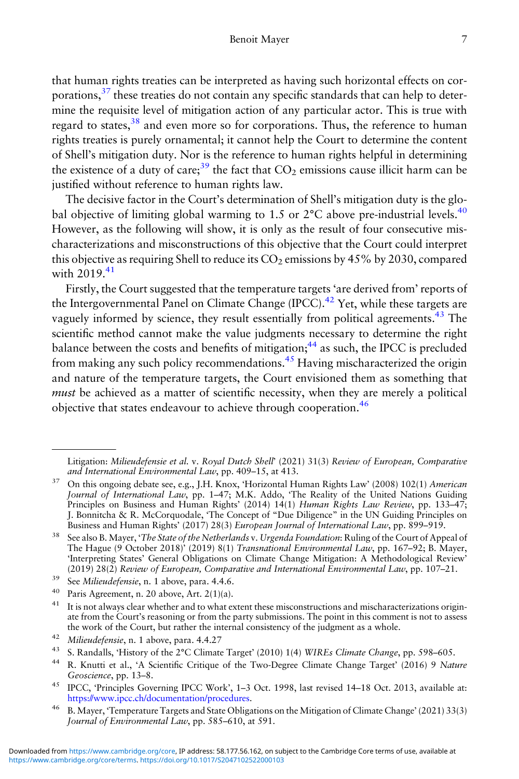that human rights treaties can be interpreted as having such horizontal effects on corporations,<sup>37</sup> these treaties do not contain any specific standards that can help to determine the requisite level of mitigation action of any particular actor. This is true with regard to states,<sup>38</sup> and even more so for corporations. Thus, the reference to human rights treaties is purely ornamental; it cannot help the Court to determine the content of Shell's mitigation duty. Nor is the reference to human rights helpful in determining the existence of a duty of care;<sup>39</sup> the fact that  $CO<sub>2</sub>$  emissions cause illicit harm can be justified without reference to human rights law.

The decisive factor in the Court's determination of Shell's mitigation duty is the global objective of limiting global warming to 1.5 or  $2^{\circ}$ C above pre-industrial levels.<sup>40</sup> However, as the following will show, it is only as the result of four consecutive mischaracterizations and misconstructions of this objective that the Court could interpret this objective as requiring Shell to reduce its  $CO<sub>2</sub>$  emissions by 45% by 2030, compared with  $2019^{41}$ 

Firstly, the Court suggested that the temperature targets 'are derived from' reports of the Intergovernmental Panel on Climate Change (IPCC).<sup>42</sup> Yet, while these targets are vaguely informed by science, they result essentially from political agreements.<sup>43</sup> The scientific method cannot make the value judgments necessary to determine the right balance between the costs and benefits of mitigation; $44$  as such, the IPCC is precluded from making any such policy recommendations.<sup>45</sup> Having mischaracterized the origin and nature of the temperature targets, the Court envisioned them as something that must be achieved as a matter of scientific necessity, when they are merely a political objective that states endeavour to achieve through cooperation.<sup>46</sup>

Litigation: Milieudefensie et al. v. Royal Dutch Shell' (2021) 31(3) Review of European, Comparative and International Environmental Law, pp. 409–15, at 413.

<sup>&</sup>lt;sup>37</sup> On this ongoing debate see, e.g., J.H. Knox, 'Horizontal Human Rights Law' (2008) 102(1) American Journal of International Law, pp. 1-47; M.K. Addo, 'The Reality of the United Nations Guiding Principles on Business and Human Rights' (2014) 14(1) Human Rights Law Review, pp. 133–47; J. Bonnitcha & R. McCorquodale, 'The Concept of "Due Diligence" in the UN Guiding Principles on .<br>Business and Human Rights' (2017) 28(3) European Journal of International Law, pp. 899–919.

<sup>&</sup>lt;sup>38</sup> See also B. Mayer, 'The State of the Netherlands v. Urgenda Foundation: Ruling of the Court of Appeal of The Hague (9 October 2018)' (2019) 8(1) Transnational Environmental Law, pp. 167–92; B. Mayer, 'Interpreting States' General Obligations on Climate Change Mitigation: A Methodological Review'  $(2019)$  28(2) Review of European, Comparative and International Environmental Law, pp. 107–21.

<sup>&</sup>lt;sup>39</sup> See Milieudefensie, n. 1 above, para. 4.4.6.<br><sup>40</sup> Paris Agreement, p. 20 above, Art. 2(1)(a)

<sup>&</sup>lt;sup>40</sup> Paris Agreement, n. 20 above, Art.  $2(1)(a)$ .

It is not always clear whether and to what extent these misconstructions and mischaracterizations originate from the Court's reasoning or from the party submissions. The point in this comment is not to assess the work of the Court, but rather the internal consistency of the judgment as a whole.

<sup>42</sup> Milieudefensie, n. 1 above, para.  $4.4.27$ <br> $43 \text{ S. Bendalle}$  History of the 2°C Climate

<sup>43</sup> S. Randalls, 'History of the 2°C Climate Target' (2010) 1(4) WIREs Climate Change, pp. 598–605.

<sup>44</sup> R. Knutti et al., 'A Scientific Critique of the Two-Degree Climate Change Target' (2016) 9 Nature Geoscience, pp. 13–8.

<sup>45</sup> IPCC, 'Principles Governing IPCC Work', 1–3 Oct. 1998, last revised 14–18 Oct. 2013, available at: <https://www.ipcc.ch/documentation/procedures>.

<sup>46</sup> B. Mayer, 'Temperature Targets and State Obligations on the Mitigation of Climate Change' (2021) 33(3) Journal of Environmental Law, pp. 585–610, at 591.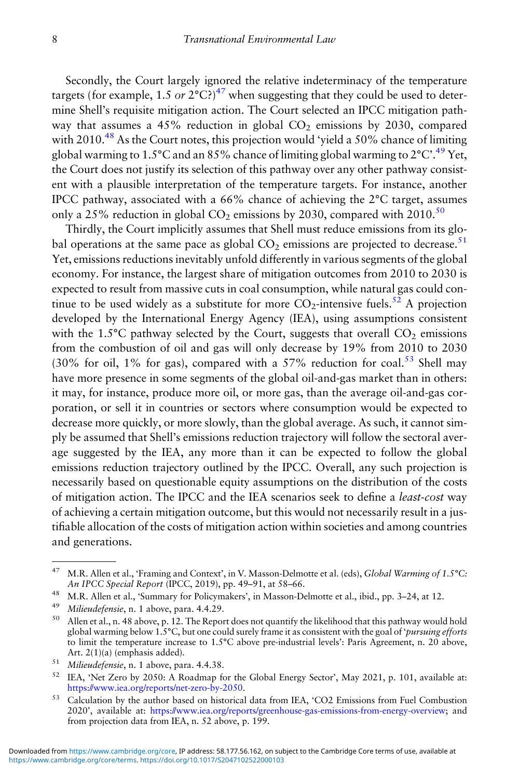Secondly, the Court largely ignored the relative indeterminacy of the temperature targets (for example, 1.5 or  $2^{\circ}$ C?)<sup>47</sup> when suggesting that they could be used to determine Shell's requisite mitigation action. The Court selected an IPCC mitigation pathway that assumes a 45% reduction in global  $CO<sub>2</sub>$  emissions by 2030, compared with  $2010^{48}$  As the Court notes, this projection would 'vield a 50% chance of limiting global warming to 1.5°C and an 85% chance of limiting global warming to 2°C'.<sup>49</sup> Yet, the Court does not justify its selection of this pathway over any other pathway consistent with a plausible interpretation of the temperature targets. For instance, another IPCC pathway, associated with a 66% chance of achieving the 2°C target, assumes only a 25% reduction in global  $CO<sub>2</sub>$  emissions by 2030, compared with 2010.<sup>50</sup>

Thirdly, the Court implicitly assumes that Shell must reduce emissions from its global operations at the same pace as global  $CO<sub>2</sub>$  emissions are projected to decrease.<sup>51</sup> Yet, emissions reductions inevitably unfold differently in various segments of the global economy. For instance, the largest share of mitigation outcomes from 2010 to 2030 is expected to result from massive cuts in coal consumption, while natural gas could continue to be used widely as a substitute for more  $CO_2$ -intensive fuels.<sup>52</sup> A projection developed by the International Energy Agency (IEA), using assumptions consistent with the 1.5 $^{\circ}$ C pathway selected by the Court, suggests that overall CO<sub>2</sub> emissions from the combustion of oil and gas will only decrease by 19% from 2010 to 2030 (30% for oil, 1% for gas), compared with a 57% reduction for coal.<sup>53</sup> Shell may have more presence in some segments of the global oil-and-gas market than in others: it may, for instance, produce more oil, or more gas, than the average oil-and-gas corporation, or sell it in countries or sectors where consumption would be expected to decrease more quickly, or more slowly, than the global average. As such, it cannot simply be assumed that Shell's emissions reduction trajectory will follow the sectoral average suggested by the IEA, any more than it can be expected to follow the global emissions reduction trajectory outlined by the IPCC. Overall, any such projection is necessarily based on questionable equity assumptions on the distribution of the costs of mitigation action. The IPCC and the IEA scenarios seek to define a least-cost way of achieving a certain mitigation outcome, but this would not necessarily result in a justifiable allocation of the costs of mitigation action within societies and among countries and generations.

<sup>&</sup>lt;sup>47</sup> M.R. Allen et al., 'Framing and Context', in V. Masson-Delmotte et al. (eds), Global Warming of 1.5°C: An IPCC Special Report (IPCC, 2019), pp. 49–91, at 58–66.

<sup>&</sup>lt;sup>48</sup> M.R. Allen et al., 'Summary for Policymakers', in Masson-Delmotte et al., ibid., pp. 3–24, at 12.

<sup>&</sup>lt;sup>49</sup> Milieudefensie, n. 1 above, para. 4.4.29.<br> $\frac{50}{2}$  Allen at al. n. 48 above, n. 12. The Benev

<sup>50</sup> Allen et al., n. 48 above, p. 12. The Report does not quantify the likelihood that this pathway would hold global warming below 1.5 $^{\circ}$ C, but one could surely frame it as consistent with the goal of 'pursuing efforts to limit the temperature increase to 1.5°C above pre-industrial levels': Paris Agreement, n. 20 above, Art. 2(1)(a) (emphasis added).

<sup>51</sup> Milieudefensie, n. 1 above, para. 4.4.38.

<sup>52</sup> IEA, 'Net Zero by 2050: A Roadmap for the Global Energy Sector', May 2021, p. 101, available at: <https://www.iea.org/reports/net-zero-by-2050>.

<sup>53</sup> Calculation by the author based on historical data from IEA, 'CO2 Emissions from Fuel Combustion 2020', available at: <https://www.iea.org/reports/greenhouse-gas-emissions-from-energy-overview>; and from projection data from IEA, n. 52 above, p. 199.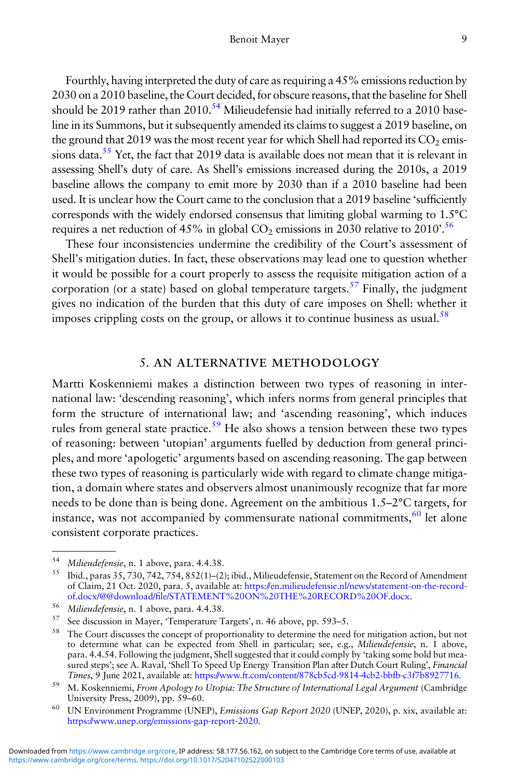<span id="page-8-0"></span>Fourthly, having interpreted the duty of care as requiring a 45% emissions reduction by 2030 on a 2010 baseline, the Court decided, for obscure reasons, that the baseline for Shell should be 2019 rather than 2010.<sup>54</sup> Milieudefensie had initially referred to a 2010 baseline in its Summons, but it subsequently amended its claims to suggest a 2019 baseline, on the ground that 2019 was the most recent year for which Shell had reported its  $CO<sub>2</sub>$  emissions data.<sup>55</sup> Yet, the fact that 2019 data is available does not mean that it is relevant in assessing Shell's duty of care. As Shell's emissions increased during the 2010s, a 2019 baseline allows the company to emit more by 2030 than if a 2010 baseline had been used. It is unclear how the Court came to the conclusion that a 2019 baseline 'sufficiently corresponds with the widely endorsed consensus that limiting global warming to 1.5°C requires a net reduction of 45% in global  $CO_2$  emissions in 2030 relative to 2010'.<sup>56</sup>

These four inconsistencies undermine the credibility of the Court's assessment of Shell's mitigation duties. In fact, these observations may lead one to question whether it would be possible for a court properly to assess the requisite mitigation action of a corporation (or a state) based on global temperature targets.<sup>57</sup> Finally, the judgment gives no indication of the burden that this duty of care imposes on Shell: whether it imposes crippling costs on the group, or allows it to continue business as usual.<sup>58</sup>

### 5. AN ALTERNATIVE METHODOLOGY

Martti Koskenniemi makes a distinction between two types of reasoning in international law: 'descending reasoning', which infers norms from general principles that form the structure of international law; and 'ascending reasoning', which induces rules from general state practice.<sup>59</sup> He also shows a tension between these two types of reasoning: between 'utopian' arguments fuelled by deduction from general principles, and more 'apologetic' arguments based on ascending reasoning. The gap between these two types of reasoning is particularly wide with regard to climate change mitigation, a domain where states and observers almost unanimously recognize that far more needs to be done than is being done. Agreement on the ambitious 1.5–2°C targets, for instance, was not accompanied by commensurate national commitments,<sup>60</sup> let alone consistent corporate practices.

<sup>&</sup>lt;sup>54</sup> Milieudefensie, n. 1 above, para. 4.4.38.<br><sup>55</sup> Jack name <sup>25</sup> 720 742 754 852(1) (2)

<sup>55</sup> Ibid., paras 35, 730, 742, 754, 852(1)–(2); ibid., Milieudefensie, Statement on the Record of Amendment of Claim, 21 Oct. 2020, para. 5, available at: [https://en.milieudefensie.nl/news/statement-on-the-record](https://en.milieudefensie.nl/news/statement-on-the-record-of.docx/@@download/file/STATEMENT%20ON%20THE%20RECORD%20OF.docx)of.docx/@@download/fi[le/STATEMENT%20ON%20THE%20RECORD%20OF.docx](https://en.milieudefensie.nl/news/statement-on-the-record-of.docx/@@download/file/STATEMENT%20ON%20THE%20RECORD%20OF.docx).

<sup>&</sup>lt;sup>56</sup> Milieudefensie, n. 1 above, para.  $4.4.38$ .<br><sup>57</sup> See discussion in Mayer. Temperature T

See discussion in Mayer, 'Temperature Targets', n. 46 above, pp. 593-5.

<sup>58</sup> The Court discusses the concept of proportionality to determine the need for mitigation action, but not to determine what can be expected from Shell in particular; see, e.g., *Milieudefensie*, n. 1 above, para. 4.4.54. Following the judgment, Shell suggested that it could comply by 'taking some bold but measured steps'; see A. Raval, 'Shell To Speed Up Energy Transition Plan after Dutch Court Ruling', Financial Times, 9 June 2021, available at: [https://www.ft.com/content/878cb5cd-9814-4cb2-bbfb-c3f7b8927716.](https://www.ft.com/content/878cb5cd-9814-4cb2-bbfb-c3f7b8927716)

<sup>&</sup>lt;sup>59</sup> M. Koskenniemi, From Apology to Utopia: The Structure of International Legal Argument (Cambridge University Press, 2009), pp. 59–60.

<sup>60</sup> UN Environment Programme (UNEP), Emissions Gap Report 2020 (UNEP, 2020), p. xix, available at: [https://www.unep.org/emissions-gap-report-2020.](https://www.unep.org/emissions-gap-report-2020)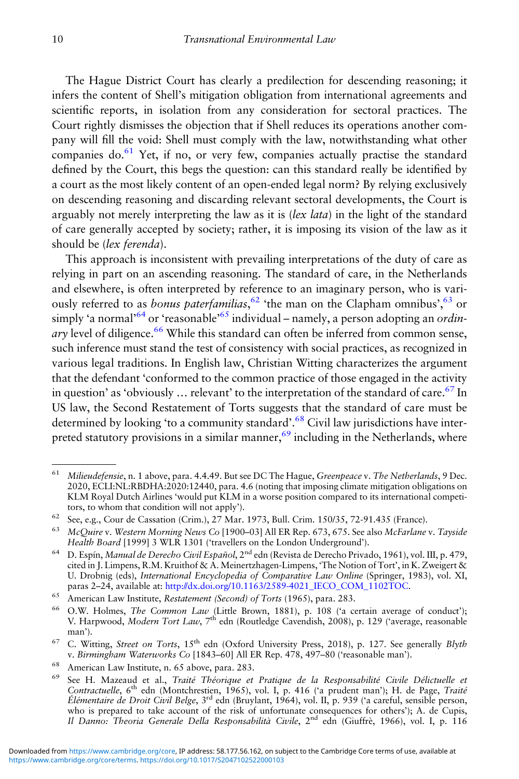The Hague District Court has clearly a predilection for descending reasoning; it infers the content of Shell's mitigation obligation from international agreements and scientific reports, in isolation from any consideration for sectoral practices. The Court rightly dismisses the objection that if Shell reduces its operations another company will fill the void: Shell must comply with the law, notwithstanding what other companies do. $61$  Yet, if no, or very few, companies actually practise the standard defined by the Court, this begs the question: can this standard really be identified by a court as the most likely content of an open-ended legal norm? By relying exclusively on descending reasoning and discarding relevant sectoral developments, the Court is arguably not merely interpreting the law as it is (lex lata) in the light of the standard of care generally accepted by society; rather, it is imposing its vision of the law as it should be (lex ferenda).

This approach is inconsistent with prevailing interpretations of the duty of care as relying in part on an ascending reasoning. The standard of care, in the Netherlands and elsewhere, is often interpreted by reference to an imaginary person, who is variously referred to as *bonus paterfamilias*, <sup>62</sup> 'the man on the Clapham omnibus', <sup>63</sup> or simply 'a normal'<sup>64</sup> or 'reasonable'<sup>65</sup> individual – namely, a person adopting an *ordin* $arv$  level of diligence.<sup>66</sup> While this standard can often be inferred from common sense, such inference must stand the test of consistency with social practices, as recognized in various legal traditions. In English law, Christian Witting characterizes the argument that the defendant 'conformed to the common practice of those engaged in the activity in question' as 'obviously  $\ldots$  relevant' to the interpretation of the standard of care.<sup>67</sup> In US law, the Second Restatement of Torts suggests that the standard of care must be determined by looking 'to a community standard'.<sup>68</sup> Civil law jurisdictions have interpreted statutory provisions in a similar manner,  $69$  including in the Netherlands, where

<sup>&</sup>lt;sup>61</sup> Milieudefensie, n. 1 above, para. 4.4.49. But see DC The Hague, Greenpeace v. The Netherlands, 9 Dec. 2020, ECLI:NL:RBDHA:2020:12440, para. 4.6 (noting that imposing climate mitigation obligations on KLM Royal Dutch Airlines 'would put KLM in a worse position compared to its international competitors, to whom that condition will not apply').

<sup>62</sup> See, e.g., Cour de Cassation (Crim.), 27 Mar. 1973, Bull. Crim. 150/35, 72-91.435 (France).

<sup>&</sup>lt;sup>63</sup> McQuire v. Western Morning News Co [1900-03] All ER Rep. 673, 675. See also McFarlane v. Tayside Health Board [1999] 3 WLR 1301 ('travellers on the London Underground').

<sup>64</sup> D. Espín, Manual de Derecho Civil Español, 2nd edn (Revista de Derecho Privado, 1961), vol. III, p. 479, cited in J. Limpens, R.M. Kruithof & A. Meinertzhagen-Limpens, 'The Notion of Tort', in K. Zweigert & U. Drobnig (eds), International Encyclopedia of Comparative Law Online (Springer, 1983), vol. XI, paras 2–24, available at: [http://dx.doi.org/10.1163/2589-4021\\_IECO\\_COM\\_1102TOC.](http://dx.doi.org/10.1163/2589-4021_IECO_COM_1102TOC)

<sup>65</sup> American Law Institute, Restatement (Second) of Torts (1965), para. 283.

<sup>66</sup> O.W. Holmes, The Common Law (Little Brown, 1881), p. 108 ('a certain average of conduct'); V. Harpwood, Modern Tort Law, 7<sup>th</sup> edn (Routledge Cavendish, 2008), p. 129 ('average, reasonable man').

<sup>&</sup>lt;sup>67</sup> C. Witting, Street on Torts,  $15<sup>th</sup>$  edn (Oxford University Press, 2018), p. 127. See generally Blyth v. Birmingham Waterworks Co [1843–60] All ER Rep. 478, 497–80 ('reasonable man').

<sup>&</sup>lt;sup>68</sup> American Law Institute, n. 65 above, para. 283.

<sup>&</sup>lt;sup>69</sup> See H. Mazeaud et al., Traité Théorique et Pratique de la Responsabilité Civile Délictuelle et Contractuelle, 6<sup>th</sup> edn (Montchrestien, 1965), vol. I, p. 416 ('a prudent man'); H. de Page, Traité Élémentaire de Droit Civil Belge, 3<sup>rd</sup> edn (Bruylant, 1964), vol. II, p. 939 ('a careful, sensible person, who is prepared to take account of the risk of unfortunate consequences for others'); A. de Cupis, Il Danno: Theoria Generale Della Responsabilità Civile, 2<sup>nd</sup> edn (Giuffrè, 1966), vol. I, p. 116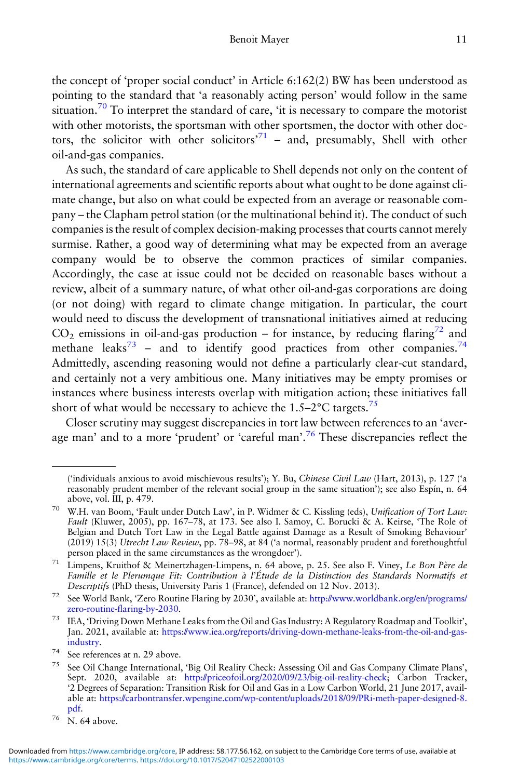the concept of 'proper social conduct' in Article 6:162(2) BW has been understood as pointing to the standard that 'a reasonably acting person' would follow in the same situation.<sup>70</sup> To interpret the standard of care, 'it is necessary to compare the motorist with other motorists, the sportsman with other sportsmen, the doctor with other doctors, the solicitor with other solicitors<sup>71</sup> - and, presumably, Shell with other oil-and-gas companies.

As such, the standard of care applicable to Shell depends not only on the content of international agreements and scientific reports about what ought to be done against climate change, but also on what could be expected from an average or reasonable company – the Clapham petrol station (or the multinational behind it). The conduct of such companies is the result of complex decision-making processes that courts cannot merely surmise. Rather, a good way of determining what may be expected from an average company would be to observe the common practices of similar companies. Accordingly, the case at issue could not be decided on reasonable bases without a review, albeit of a summary nature, of what other oil-and-gas corporations are doing (or not doing) with regard to climate change mitigation. In particular, the court would need to discuss the development of transnational initiatives aimed at reducing  $CO<sub>2</sub>$  emissions in oil-and-gas production – for instance, by reducing flaring<sup>72</sup> and methane leaks<sup>73</sup> – and to identify good practices from other companies.<sup>74</sup> Admittedly, ascending reasoning would not define a particularly clear-cut standard, and certainly not a very ambitious one. Many initiatives may be empty promises or instances where business interests overlap with mitigation action; these initiatives fall short of what would be necessary to achieve the  $1.5-2$ °C targets.<sup>75</sup>

Closer scrutiny may suggest discrepancies in tort law between references to an 'average man' and to a more 'prudent' or 'careful man'.<sup>76</sup> These discrepancies reflect the

<sup>72</sup> See World Bank, 'Zero Routine Flaring by 2030', available at: [http://www.worldbank.org/en/programs/](http://www.worldbank.org/en/programs/zero-routine-flaring-by-2030) zero-routine-fl[aring-by-2030.](http://www.worldbank.org/en/programs/zero-routine-flaring-by-2030)

<sup>(</sup>'individuals anxious to avoid mischievous results'); Y. Bu, Chinese Civil Law (Hart, 2013), p. 127 ('a reasonably prudent member of the relevant social group in the same situation'); see also Espín, n. 64 above, vol. III, p. 479.

<sup>70</sup> W.H. van Boom, 'Fault under Dutch Law', in P. Widmer & C. Kissling (eds), Unification of Tort Law: Fault (Kluwer, 2005), pp. 167–78, at 173. See also I. Samoy, C. Borucki & A. Keirse, 'The Role of Belgian and Dutch Tort Law in the Legal Battle against Damage as a Result of Smoking Behaviour' (2019) 15(3) Utrecht Law Review, pp. 78–98, at 84 ('a normal, reasonably prudent and forethoughtful person placed in the same circumstances as the wrongdoer').

<sup>71</sup> Limpens, Kruithof & Meinertzhagen-Limpens, n. 64 above, p. 25. See also F. Viney, Le Bon Père de Famille et le Plerumque Fit: Contribution à l'Étude de la Distinction des Standards Normatifs et Descriptifs (PhD thesis, University Paris 1 (France), defended on 12 Nov. 2013).

<sup>73</sup> IEA, 'Driving Down Methane Leaks from the Oil and Gas Industry: A Regulatory Roadmap and Toolkit', Jan. 2021, available at: [https://www.iea.org/reports/driving-down-methane-leaks-from-the-oil-and-gas](https://www.iea.org/reports/driving-down-methane-leaks-from-the-oil-and-gas-industry)[industry.](https://www.iea.org/reports/driving-down-methane-leaks-from-the-oil-and-gas-industry)

 $^{74}$  See references at n. 29 above.

<sup>75</sup> See Oil Change International, 'Big Oil Reality Check: Assessing Oil and Gas Company Climate Plans', Sept. 2020, available at: <http://priceofoil.org/2020/09/23/big-oil-reality-check>; Carbon Tracker, '2 Degrees of Separation: Transition Risk for Oil and Gas in a Low Carbon World, 21 June 2017, available at: [https://carbontransfer.wpengine.com/wp-content/uploads/2018/09/PRi-meth-paper-designed-8.](https://carbontransfer.wpengine.com/wp-content/uploads/2018/09/PRi-meth-paper-designed-8.pdf) [pdf](https://carbontransfer.wpengine.com/wp-content/uploads/2018/09/PRi-meth-paper-designed-8.pdf).

<sup>76</sup> N. 64 above.